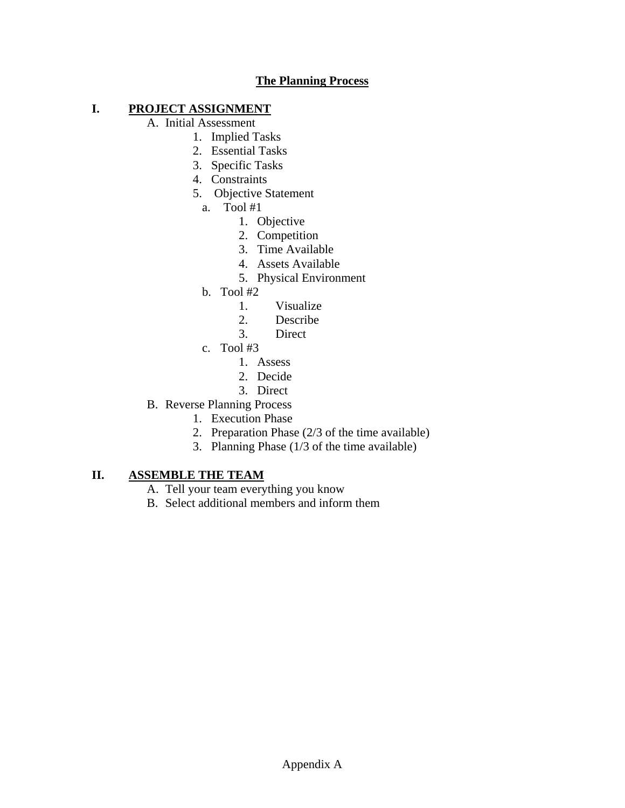# **The Planning Process**

# **I. PROJECT ASSIGNMENT**

A. Initial Assessment

- 1. Implied Tasks
- 2. Essential Tasks
- 3. Specific Tasks
- 4. Constraints
- 5. Objective Statement
	- a. Tool #1
		- 1. Objective
		- 2. Competition
		- 3. Time Available
		- 4. Assets Available
		- 5. Physical Environment
	- b. Tool #2
		- 1. Visualize
		- 2. Describe
		- 3. Direct
	- c. Tool #3
		- 1. Assess
		- 2. Decide
		- 3. Direct
- B. Reverse Planning Process
	- 1. Execution Phase
	- 2. Preparation Phase (2/3 of the time available)
	- 3. Planning Phase (1/3 of the time available)

### **II. ASSEMBLE THE TEAM**

- A. Tell your team everything you know
- B. Select additional members and inform them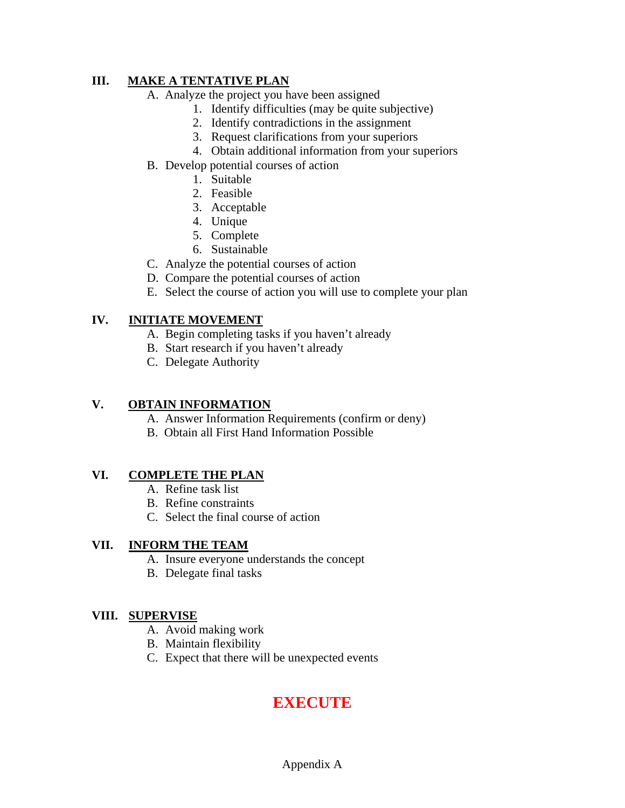# **III. MAKE A TENTATIVE PLAN**

- A. Analyze the project you have been assigned
	- 1. Identify difficulties (may be quite subjective)
	- 2. Identify contradictions in the assignment
	- 3. Request clarifications from your superiors
	- 4. Obtain additional information from your superiors
- B. Develop potential courses of action
	- 1. Suitable
	- 2. Feasible
	- 3. Acceptable
	- 4. Unique
	- 5. Complete
	- 6. Sustainable
- C. Analyze the potential courses of action
- D. Compare the potential courses of action
- E. Select the course of action you will use to complete your plan

# **IV. INITIATE MOVEMENT**

- A. Begin completing tasks if you haven't already
- B. Start research if you haven't already
- C. Delegate Authority

### **V. OBTAIN INFORMATION**

- A. Answer Information Requirements (confirm or deny)
- B. Obtain all First Hand Information Possible

### **VI. COMPLETE THE PLAN**

- A. Refine task list
- B. Refine constraints
- C. Select the final course of action

### **VII. INFORM THE TEAM**

- A. Insure everyone understands the concept
- B. Delegate final tasks

### **VIII. SUPERVISE**

- A. Avoid making work
- B. Maintain flexibility
- C. Expect that there will be unexpected events

# **EXECUTE**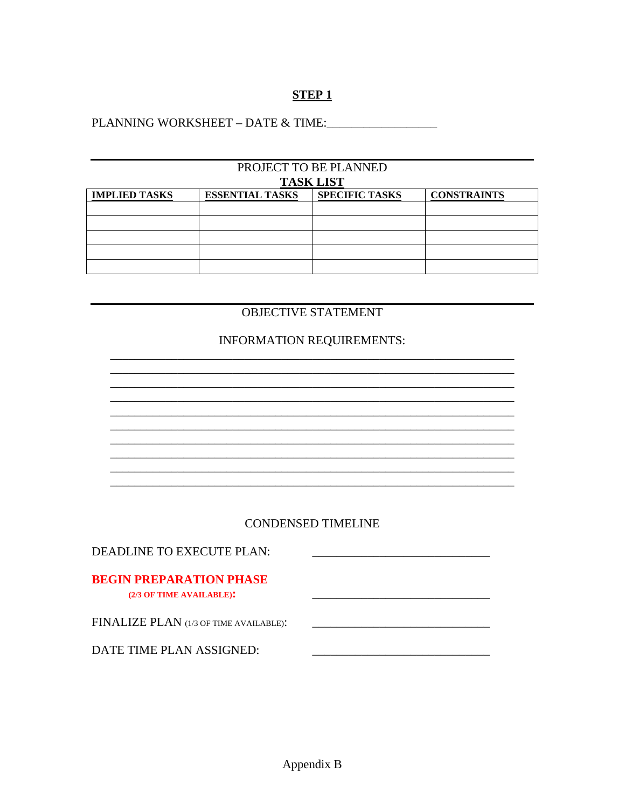# **STEP1**

PLANNING WORKSHEET - DATE & TIME:

| PROJECT TO BE PLANNED |                        |                       |                    |  |
|-----------------------|------------------------|-----------------------|--------------------|--|
| <b>TASK LIST</b>      |                        |                       |                    |  |
| <b>IMPLIED TASKS</b>  | <b>ESSENTIAL TASKS</b> | <b>SPECIFIC TASKS</b> | <b>CONSTRAINTS</b> |  |
|                       |                        |                       |                    |  |
|                       |                        |                       |                    |  |
|                       |                        |                       |                    |  |
|                       |                        |                       |                    |  |
|                       |                        |                       |                    |  |

# OBJECTIVE STATEMENT

# **INFORMATION REQUIREMENTS:**

### **CONDENSED TIMELINE**

| DEADLINE TO EXECUTE PLAN:              |  |
|----------------------------------------|--|
|                                        |  |
| <b>BEGIN PREPARATION PHASE</b>         |  |
| (2/3 OF TIME AVAILABLE):               |  |
|                                        |  |
| FINALIZE PLAN (1/3 OF TIME AVAILABLE): |  |
|                                        |  |
| DATE TIME PLAN ASSIGNED:               |  |